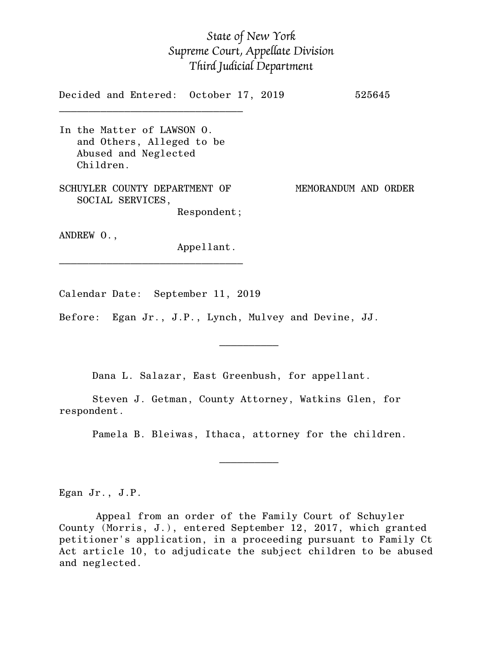## *State of New York Supreme Court, Appellate Division Third Judicial Department*

Decided and Entered: October 17, 2019 525645  $\mathcal{L}_\text{max}$ 

In the Matter of LAWSON O. and Others, Alleged to be Abused and Neglected Children.

SCHUYLER COUNTY DEPARTMENT OF MEMORANDUM AND ORDER SOCIAL SERVICES, Respondent;

ANDREW O.,

Appellant.

Calendar Date: September 11, 2019

 $\mathcal{L}_\text{max}$  and  $\mathcal{L}_\text{max}$  are the set of  $\mathcal{L}_\text{max}$  . The set of  $\mathcal{L}_\text{max}$ 

 $\mathcal{L}_\text{max}$  and  $\mathcal{L}_\text{max}$  are the set of  $\mathcal{L}_\text{max}$  . The set of  $\mathcal{L}_\text{max}$ 

\_\_\_\_\_\_\_\_\_\_\_\_\_\_\_\_\_\_\_\_\_\_\_\_\_\_\_\_\_\_\_

Before: Egan Jr., J.P., Lynch, Mulvey and Devine, JJ.

Dana L. Salazar, East Greenbush, for appellant.

Steven J. Getman, County Attorney, Watkins Glen, for respondent.

Pamela B. Bleiwas, Ithaca, attorney for the children.

Egan Jr., J.P.

Appeal from an order of the Family Court of Schuyler County (Morris, J.), entered September 12, 2017, which granted petitioner's application, in a proceeding pursuant to Family Ct Act article 10, to adjudicate the subject children to be abused and neglected.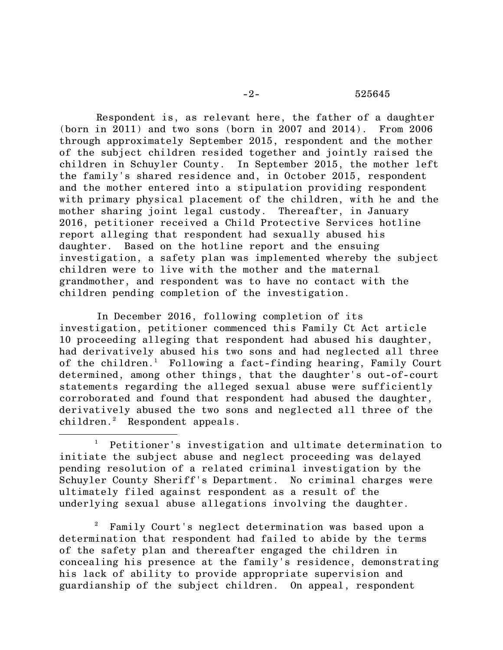Respondent is, as relevant here, the father of a daughter (born in 2011) and two sons (born in 2007 and 2014). From 2006 through approximately September 2015, respondent and the mother of the subject children resided together and jointly raised the children in Schuyler County. In September 2015, the mother left the family's shared residence and, in October 2015, respondent and the mother entered into a stipulation providing respondent with primary physical placement of the children, with he and the mother sharing joint legal custody. Thereafter, in January 2016, petitioner received a Child Protective Services hotline report alleging that respondent had sexually abused his daughter. Based on the hotline report and the ensuing investigation, a safety plan was implemented whereby the subject children were to live with the mother and the maternal grandmother, and respondent was to have no contact with the children pending completion of the investigation.

In December 2016, following completion of its investigation, petitioner commenced this Family Ct Act article 10 proceeding alleging that respondent had abused his daughter, had derivatively abused his two sons and had neglected all three of the children.<sup>1</sup> Following a fact-finding hearing, Family Court determined, among other things, that the daughter's out-of-court statements regarding the alleged sexual abuse were sufficiently corroborated and found that respondent had abused the daughter, derivatively abused the two sons and neglected all three of the children. <sup>2</sup> Respondent appeals.

Petitioner's investigation and ultimate determination to initiate the subject abuse and neglect proceeding was delayed pending resolution of a related criminal investigation by the Schuyler County Sheriff's Department. No criminal charges were ultimately filed against respondent as a result of the underlying sexual abuse allegations involving the daughter.

 $\overline{\phantom{a}}$ 

<sup>2</sup> Family Court's neglect determination was based upon a determination that respondent had failed to abide by the terms of the safety plan and thereafter engaged the children in concealing his presence at the family's residence, demonstrating his lack of ability to provide appropriate supervision and guardianship of the subject children. On appeal, respondent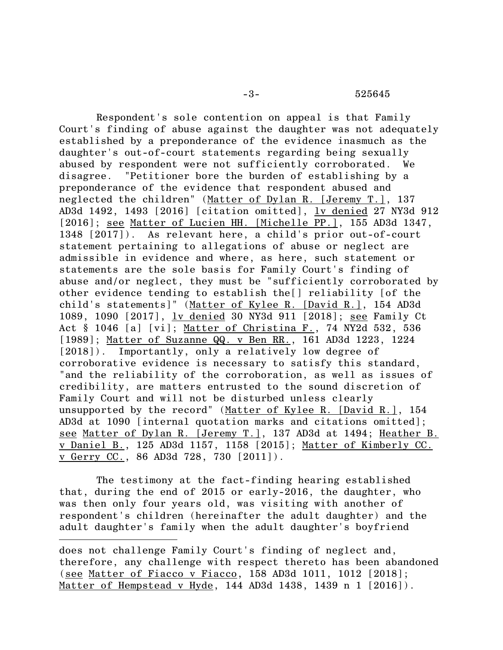## -3- 525645

Respondent's sole contention on appeal is that Family Court's finding of abuse against the daughter was not adequately established by a preponderance of the evidence inasmuch as the daughter's out-of-court statements regarding being sexually abused by respondent were not sufficiently corroborated. We disagree. "Petitioner bore the burden of establishing by a preponderance of the evidence that respondent abused and neglected the children" (Matter of Dylan R. [Jeremy T.], 137 AD3d 1492, 1493 [2016] [citation omitted], lv denied 27 NY3d 912 [2016]; see Matter of Lucien HH. [Michelle PP.], 155 AD3d 1347, 1348 [2017]). As relevant here, a child's prior out-of-court statement pertaining to allegations of abuse or neglect are admissible in evidence and where, as here, such statement or statements are the sole basis for Family Court's finding of abuse and/or neglect, they must be "sufficiently corroborated by other evidence tending to establish the[] reliability [of the child's statements]" (Matter of Kylee R. [David R.], 154 AD3d 1089, 1090 [2017], lv denied 30 NY3d 911 [2018]; see Family Ct Act § 1046 [a] [vi]; Matter of Christina F., 74 NY2d 532, 536 [1989]; Matter of Suzanne QQ. v Ben RR., 161 AD3d 1223, 1224 [2018]). Importantly, only a relatively low degree of corroborative evidence is necessary to satisfy this standard, "and the reliability of the corroboration, as well as issues of credibility, are matters entrusted to the sound discretion of Family Court and will not be disturbed unless clearly unsupported by the record" (Matter of Kylee R. [David R.], 154 AD3d at 1090 [internal quotation marks and citations omitted]; see Matter of Dylan R. [Jeremy T.], 137 AD3d at 1494; Heather B. v Daniel B., 125 AD3d 1157, 1158 [2015]; Matter of Kimberly CC. v Gerry CC., 86 AD3d 728, 730 [2011]).

The testimony at the fact-finding hearing established that, during the end of 2015 or early-2016, the daughter, who was then only four years old, was visiting with another of respondent's children (hereinafter the adult daughter) and the adult daughter's family when the adult daughter's boyfriend

 $\overline{\phantom{a}}$ 

does not challenge Family Court's finding of neglect and, therefore, any challenge with respect thereto has been abandoned (see Matter of Fiacco v Fiacco, 158 AD3d 1011, 1012 [2018]; Matter of Hempstead v Hyde, 144 AD3d 1438, 1439 n 1 [2016]).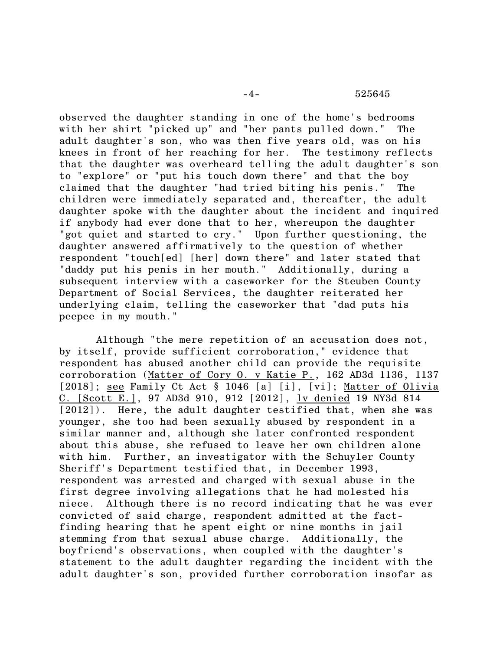observed the daughter standing in one of the home's bedrooms with her shirt "picked up" and "her pants pulled down." The adult daughter's son, who was then five years old, was on his knees in front of her reaching for her. The testimony reflects that the daughter was overheard telling the adult daughter's son to "explore" or "put his touch down there" and that the boy claimed that the daughter "had tried biting his penis." The children were immediately separated and, thereafter, the adult daughter spoke with the daughter about the incident and inquired if anybody had ever done that to her, whereupon the daughter "got quiet and started to cry." Upon further questioning, the daughter answered affirmatively to the question of whether respondent "touch[ed] [her] down there" and later stated that "daddy put his penis in her mouth." Additionally, during a subsequent interview with a caseworker for the Steuben County Department of Social Services, the daughter reiterated her underlying claim, telling the caseworker that "dad puts his peepee in my mouth."

Although "the mere repetition of an accusation does not, by itself, provide sufficient corroboration," evidence that respondent has abused another child can provide the requisite corroboration (Matter of Cory O. v Katie P., 162 AD3d 1136, 1137 [2018]; see Family Ct Act § 1046 [a] [i], [vi]; Matter of Olivia C. [Scott E.], 97 AD3d 910, 912 [2012], lv denied 19 NY3d 814 [2012]). Here, the adult daughter testified that, when she was younger, she too had been sexually abused by respondent in a similar manner and, although she later confronted respondent about this abuse, she refused to leave her own children alone with him. Further, an investigator with the Schuyler County Sheriff's Department testified that, in December 1993, respondent was arrested and charged with sexual abuse in the first degree involving allegations that he had molested his niece. Although there is no record indicating that he was ever convicted of said charge, respondent admitted at the factfinding hearing that he spent eight or nine months in jail stemming from that sexual abuse charge. Additionally, the boyfriend's observations, when coupled with the daughter's statement to the adult daughter regarding the incident with the adult daughter's son, provided further corroboration insofar as